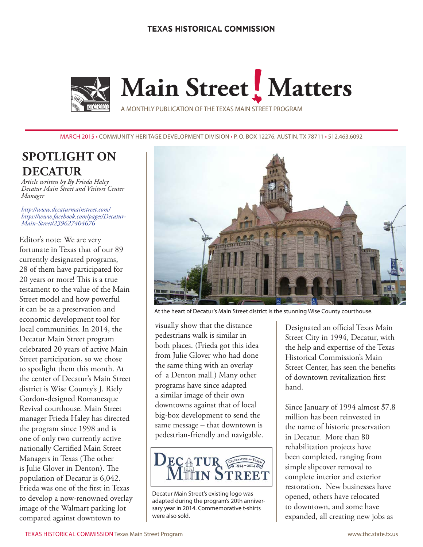

**Main Street** Matters

A MONTHLY PUBLICATION OF THE TEXAS MAIN STREET PROGRAM

MARCH 2015 • COMMUNITY HERITAGE DEVELOPMENT DIVISION • P. O. BOX 12276, AUSTIN, TX 78711 • 512.463.6092

# **SPOTLIGHT ON DECATUR**

*Article written by By Frieda Haley Decatur Main Street and Visitors Center Manager*

*[http://www.decaturmainstreet.com/](http://www.decaturmainstreet.com/ )  [https://www.facebook.com/pages/Decatur-](https://www.facebook.com/pages/Decatur-Main-Street/239627404676)[Main-Street/239627404676](https://www.facebook.com/pages/Decatur-Main-Street/239627404676)*

Editor's note: We are very fortunate in Texas that of our 89 currently designated programs, 28 of them have participated for 20 years or more! This is a true testament to the value of the Main Street model and how powerful it can be as a preservation and economic development tool for local communities. In 2014, the Decatur Main Street program celebrated 20 years of active Main Street participation, so we chose to spotlight them this month. At the center of Decatur's Main Street district is Wise County's J. Riely Gordon-designed Romanesque Revival courthouse. Main Street manager Frieda Haley has directed the program since 1998 and is one of only two currently active nationally Certified Main Street Managers in Texas (The other is Julie Glover in Denton). The population of Decatur is 6,042. Frieda was one of the first in Texas to develop a now-renowned overlay image of the Walmart parking lot compared against downtown to



At the heart of Decatur's Main Street district is the stunning Wise County courthouse.

visually show that the distance pedestrians walk is similar in both places. (Frieda got this idea from Julie Glover who had done the same thing with an overlay of a Denton mall.) Many other programs have since adapted a similar image of their own downtowns against that of local big-box development to send the same message – that downtown is pedestrian-friendly and navigable.



Decatur Main Street's existing logo was adapted during the program's 20th anniversary year in 2014. Commemorative t-shirts were also sold.

Designated an official Texas Main Street City in 1994, Decatur, with the help and expertise of the Texas Historical Commission's Main Street Center, has seen the benefits of downtown revitalization first hand.

Since January of 1994 almost \$7.8 million has been reinvested in the name of historic preservation in Decatur. More than 80 rehabilitation projects have been completed, ranging from simple slipcover removal to complete interior and exterior restoration. New businesses have opened, others have relocated to downtown, and some have expanded, all creating new jobs as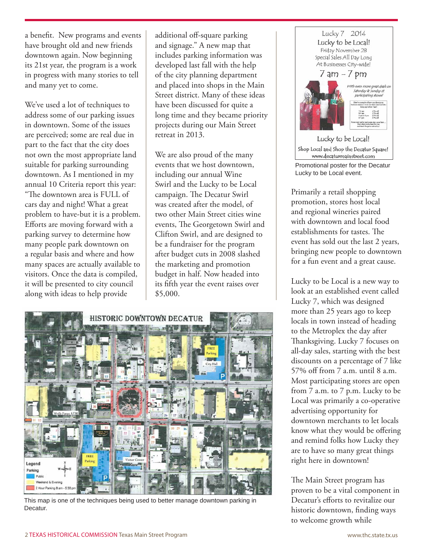a benefit. New programs and events have brought old and new friends downtown again. Now beginning its 21st year, the program is a work in progress with many stories to tell and many yet to come.

We've used a lot of techniques to address some of our parking issues in downtown. Some of the issues are perceived; some are real due in part to the fact that the city does not own the most appropriate land suitable for parking surrounding downtown. As I mentioned in my annual 10 Criteria report this year:

"The downtown area is FULL of cars day and night! What a great problem to have-but it is a problem. Efforts are moving forward with a parking survey to determine how many people park downtown on a regular basis and where and how many spaces are actually available to visitors. Once the data is compiled, it will be presented to city council along with ideas to help provide

additional off-square parking and signage." A new map that includes parking information was developed last fall with the help of the city planning department and placed into shops in the Main Street district. Many of these ideas have been discussed for quite a long time and they became priority projects during our Main Street retreat in 2013.

We are also proud of the many events that we host downtown, including our annual Wine Swirl and the Lucky to be Local campaign. The Decatur Swirl was created after the model, of two other Main Street cities wine events, The Georgetown Swirl and Clifton Swirl, and are designed to be a fundraiser for the program after budget cuts in 2008 slashed the marketing and promotion budget in half. Now headed into its fifth year the event raises over \$5,000.



This map is one of the techniques being used to better manage downtown parking in Decatur.



Primarily a retail shopping promotion, stores host local and regional wineries paired with downtown and local food establishments for tastes. The event has sold out the last 2 years, bringing new people to downtown for a fun event and a great cause.

Lucky to be Local is a new way to look at an established event called Lucky 7, which was designed more than 25 years ago to keep locals in town instead of heading to the Metroplex the day after Thanksgiving. Lucky 7 focuses on all-day sales, starting with the best discounts on a percentage of 7 like 57% off from 7 a.m. until 8 a.m. Most participating stores are open from 7 a.m. to 7 p.m. Lucky to be Local was primarily a co-operative advertising opportunity for downtown merchants to let locals know what they would be offering and remind folks how Lucky they are to have so many great things right here in downtown!

The Main Street program has proven to be a vital component in Decatur's efforts to revitalize our historic downtown, finding ways to welcome growth while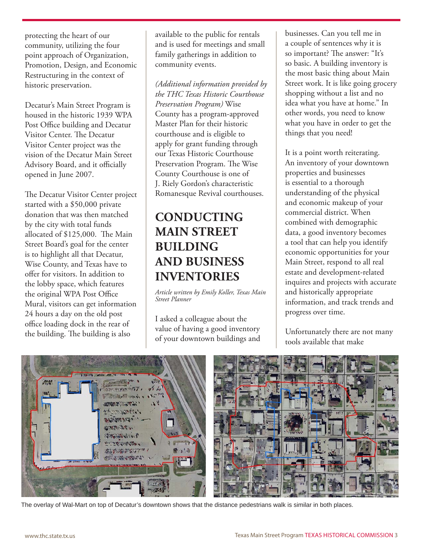protecting the heart of our community, utilizing the four point approach of Organization, Promotion, Design, and Economic Restructuring in the context of historic preservation.

Decatur's Main Street Program is housed in the historic 1939 WPA Post Office building and Decatur Visitor Center. The Decatur Visitor Center project was the vision of the Decatur Main Street Advisory Board, and it officially opened in June 2007.

The Decatur Visitor Center project started with a \$50,000 private donation that was then matched by the city with total funds allocated of \$125,000. The Main Street Board's goal for the center is to highlight all that Decatur, Wise County, and Texas have to offer for visitors. In addition to the lobby space, which features the original WPA Post Office Mural, visitors can get information 24 hours a day on the old post office loading dock in the rear of the building. The building is also

available to the public for rentals and is used for meetings and small family gatherings in addition to community events.

*(Additional information provided by the THC Texas Historic Courthouse Preservation Program)* Wise County has a program-approved Master Plan for their historic courthouse and is eligible to apply for grant funding through our Texas Historic Courthouse Preservation Program. The Wise County Courthouse is one of J. Riely Gordon's characteristic Romanesque Revival courthouses.

# **CONDUCTING MAIN STREET BUILDING AND BUSINESS INVENTORIES**

*Article written by Emily Koller, Texas Main Street Planner*

I asked a colleague about the value of having a good inventory of your downtown buildings and

businesses. Can you tell me in a couple of sentences why it is so important? The answer: "It's so basic. A building inventory is the most basic thing about Main Street work. It is like going grocery shopping without a list and no idea what you have at home." In other words, you need to know what you have in order to get the things that you need!

It is a point worth reiterating. An inventory of your downtown properties and businesses is essential to a thorough understanding of the physical and economic makeup of your commercial district. When combined with demographic data, a good inventory becomes a tool that can help you identify economic opportunities for your Main Street, respond to all real estate and development-related inquires and projects with accurate and historically appropriate information, and track trends and progress over time.

Unfortunately there are not many tools available that make



The overlay of Wal-Mart on top of Decatur's downtown shows that the distance pedestrians walk is similar in both places.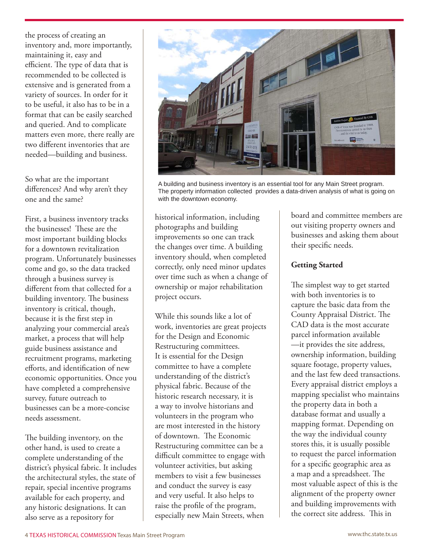the process of creating an inventory and, more importantly, maintaining it, easy and efficient. The type of data that is recommended to be collected is extensive and is generated from a variety of sources. In order for it to be useful, it also has to be in a format that can be easily searched and queried. And to complicate matters even more, there really are two different inventories that are needed—building and business.

So what are the important differences? And why aren't they one and the same?

First, a business inventory tracks the businesses! These are the most important building blocks for a downtown revitalization program. Unfortunately businesses come and go, so the data tracked through a business survey is different from that collected for a building inventory. The business inventory is critical, though, because it is the first step in analyzing your commercial area's market, a process that will help guide business assistance and recruitment programs, marketing efforts, and identification of new economic opportunities. Once you have completed a comprehensive survey, future outreach to businesses can be a more-concise needs assessment.

The building inventory, on the other hand, is used to create a complete understanding of the district's physical fabric. It includes the architectural styles, the state of repair, special incentive programs available for each property, and any historic designations. It can also serve as a repository for



A building and business inventory is an essential tool for any Main Street program. The property information collected provides a data-driven analysis of what is going on with the downtown economy.

historical information, including photographs and building improvements so one can track the changes over time. A building inventory should, when completed correctly, only need minor updates over time such as when a change of ownership or major rehabilitation project occurs.

While this sounds like a lot of work, inventories are great projects for the Design and Economic Restructuring committees. It is essential for the Design committee to have a complete understanding of the district's physical fabric. Because of the historic research necessary, it is a way to involve historians and volunteers in the program who are most interested in the history of downtown. The Economic Restructuring committee can be a difficult committee to engage with volunteer activities, but asking members to visit a few businesses and conduct the survey is easy and very useful. It also helps to raise the profile of the program, especially new Main Streets, when

board and committee members are out visiting property owners and businesses and asking them about their specific needs.

### **Getting Started**

The simplest way to get started with both inventories is to capture the basic data from the County Appraisal District. The CAD data is the most accurate parcel information available —it provides the site address, ownership information, building square footage, property values, and the last few deed transactions. Every appraisal district employs a mapping specialist who maintains the property data in both a database format and usually a mapping format. Depending on the way the individual county stores this, it is usually possible to request the parcel information for a specific geographic area as a map and a spreadsheet. The most valuable aspect of this is the alignment of the property owner and building improvements with the correct site address. This in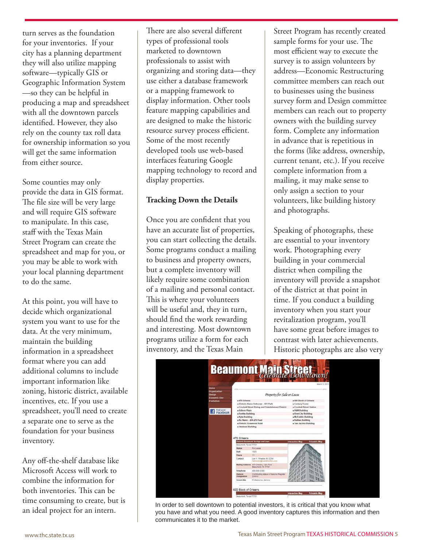turn serves as the foundation for your inventories. If your city has a planning department they will also utilize mapping software—typically GIS or Geographic Information System —so they can be helpful in producing a map and spreadsheet with all the downtown parcels identified. However, they also rely on the county tax roll data for ownership information so you will get the same information from either source.

Some counties may only provide the data in GIS format. The file size will be very large and will require GIS software to manipulate. In this case, staff with the Texas Main Street Program can create the spreadsheet and map for you, or you may be able to work with your local planning department to do the same.

At this point, you will have to decide which organizational system you want to use for the data. At the very minimum, maintain the building information in a spreadsheet format where you can add additional columns to include important information like zoning, historic district, available incentives, etc. If you use a spreadsheet, you'll need to create a separate one to serve as the foundation for your business inventory.

Any off-the-shelf database like Microsoft Access will work to combine the information for both inventories. This can be time consuming to create, but is an ideal project for an intern.

There are also several different types of professional tools marketed to downtown professionals to assist with organizing and storing data—they use either a database framework or a mapping framework to display information. Other tools feature mapping capabilities and are designed to make the historic resource survey process efficient. Some of the most recently developed tools use web-based interfaces featuring Google mapping technology to record and display properties.

#### **Tracking Down the Details**

Once you are confident that you have an accurate list of properties, you can start collecting the details. Some programs conduct a mailing to business and property owners, but a complete inventory will likely require some combination of a mailing and personal contact. This is where your volunteers will be useful and, they in turn, should find the work rewarding and interesting. Most downtown programs utilize a form for each inventory, and the Texas Main

Street Program has recently created sample forms for your use. The most efficient way to execute the survey is to assign volunteers by address—Economic Restructuring committee members can reach out to businesses using the business survey form and Design committee members can reach out to property owners with the building survey form. Complete any information in advance that is repetitious in the forms (like address, ownership, current tenant, etc.). If you receive complete information from a mailing, it may make sense to only assign a section to your volunteers, like building history and photographs.

Speaking of photographs, these are essential to your inventory work. Photographing every building in your commercial district when compiling the inventory will provide a snapshot of the district at that point in time. If you conduct a building inventory when you start your revitalization program, you'll have some great before images to contrast with later achievements. Historic photographs are also very



In order to sell downtown to potential investors, it is critical that you know what you have and what you need. A good inventory captures this information and then communicates it to the market.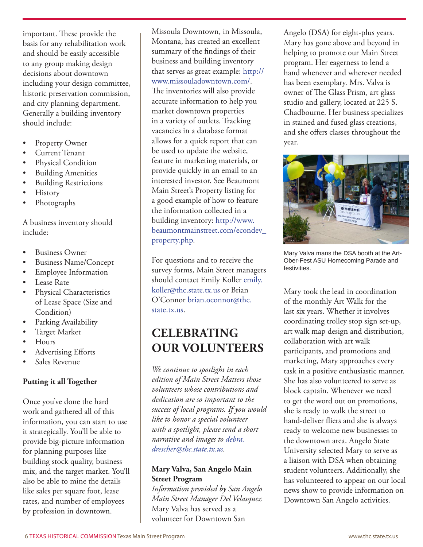important. These provide the basis for any rehabilitation work and should be easily accessible to any group making design decisions about downtown including your design committee, historic preservation commission, and city planning department. Generally a building inventory should include:

- Property Owner
- Current Tenant
- Physical Condition
- **Building Amenities**
- **Building Restrictions**
- **History**
- Photographs

A business inventory should include:

- Business Owner
- Business Name/Concept
- **Employee Information**
- Lease Rate
- Physical Characteristics of Lease Space (Size and Condition)
- Parking Availability
- Target Market
- **Hours**
- Advertising Efforts
- Sales Revenue

#### **Putting it all Together**

Once you've done the hard work and gathered all of this information, you can start to use it strategically. You'll be able to provide big-picture information for planning purposes like building stock quality, business mix, and the target market. You'll also be able to mine the details like sales per square foot, lease rates, and number of employees by profession in downtown.

Missoula Downtown, in Missoula, Montana, has created an excellent summary of the findings of their business and building inventory that serves as great example: [http://](http://www.missouladowntown.com/) [www.missouladowntown.com/](http://www.missouladowntown.com/). The inventories will also provide accurate information to help you market downtown properties in a variety of outlets. Tracking vacancies in a database format allows for a quick report that can be used to update the website, feature in marketing materials, or provide quickly in an email to an interested investor. See Beaumont Main Street's Property listing for a good example of how to feature the information collected in a building inventory: [http://www.](http://www.beaumontmainstreet.com/econdev_property.php) [beaumontmainstreet.com/econdev\\_](http://www.beaumontmainstreet.com/econdev_property.php) [property.php](http://www.beaumontmainstreet.com/econdev_property.php).

For questions and to receive the survey forms, Main Street managers should contact Emily Koller [emily.](mailto:emily.koller%40thc.state.tx.us?subject=) [koller@thc.state.tx.us](mailto:emily.koller%40thc.state.tx.us?subject=) or Brian O'Connor [brian.oconnor@thc.](mailto:brian.oconnor%40thc.state.tx.us?subject=) [state.tx.us](mailto:brian.oconnor%40thc.state.tx.us?subject=).

# **CELEBRATING OUR VOLUNTEERS**

*We continue to spotlight in each edition of Main Street Matters those volunteers whose contributions and dedication are so important to the success of local programs. If you would like to honor a special volunteer with a spotlight, please send a short narrative and images to [debra.](mailto:debra.drescher%40thc.state.tx.us?subject=) [drescher@thc.state.tx.us.](mailto:debra.drescher%40thc.state.tx.us?subject=)*

#### **Mary Valva, San Angelo Main Street Program**

*Information provided by San Angelo Main Street Manager Del Velasquez* Mary Valva has served as a volunteer for Downtown San

Angelo (DSA) for eight-plus years. Mary has gone above and beyond in helping to promote our Main Street program. Her eagerness to lend a hand whenever and wherever needed has been exemplary. Mrs. Valva is owner of The Glass Prism, art glass studio and gallery, located at 225 S. Chadbourne. Her business specializes in stained and fused glass creations, and she offers classes throughout the year.



Mary Valva mans the DSA booth at the Art-Ober-Fest ASU Homecoming Parade and festivities.

Mary took the lead in coordination of the monthly Art Walk for the last six years. Whether it involves coordinating trolley stop sign set-up, art walk map design and distribution, collaboration with art walk participants, and promotions and marketing, Mary approaches every task in a positive enthusiastic manner. She has also volunteered to serve as block captain. Whenever we need to get the word out on promotions, she is ready to walk the street to hand-deliver fliers and she is always ready to welcome new businesses to the downtown area. Angelo State University selected Mary to serve as a liaison with DSA when obtaining student volunteers. Additionally, she has volunteered to appear on our local news show to provide information on Downtown San Angelo activities.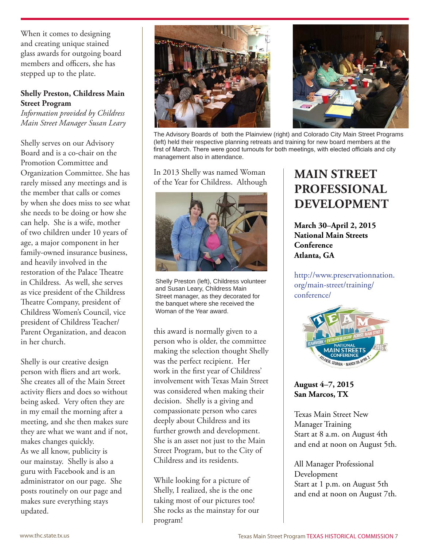When it comes to designing and creating unique stained glass awards for outgoing board members and officers, she has stepped up to the plate.

#### **Shelly Preston, Childress Main Street Program**

*Information provided by Childress Main Street Manager Susan Leary*

Shelly serves on our Advisory Board and is a co-chair on the Promotion Committee and Organization Committee. She has rarely missed any meetings and is the member that calls or comes by when she does miss to see what she needs to be doing or how she can help. She is a wife, mother of two children under 10 years of age, a major component in her family-owned insurance business, and heavily involved in the restoration of the Palace Theatre in Childress. As well, she serves as vice president of the Childress Theatre Company, president of Childress Women's Council, vice president of Childress Teacher/ Parent Organization, and deacon in her church.

Shelly is our creative design person with fliers and art work. She creates all of the Main Street activity fliers and does so without being asked. Very often they are in my email the morning after a meeting, and she then makes sure they are what we want and if not, makes changes quickly. As we all know, publicity is our mainstay. Shelly is also a guru with Facebook and is an administrator on our page. She posts routinely on our page and makes sure everything stays updated.





The Advisory Boards of both the Plainview (right) and Colorado City Main Street Programs (left) held their respective planning retreats and training for new board members at the first of March. There were good turnouts for both meetings, with elected officials and city management also in attendance.

In 2013 Shelly was named Woman of the Year for Childress. Although



Shelly Preston (left), Childress volunteer and Susan Leary, Childress Main Street manager, as they decorated for the banquet where she received the Woman of the Year award.

this award is normally given to a person who is older, the committee making the selection thought Shelly was the perfect recipient. Her work in the first year of Childress' involvement with Texas Main Street was considered when making their decision. Shelly is a giving and compassionate person who cares deeply about Childress and its further growth and development. She is an asset not just to the Main Street Program, but to the City of Childress and its residents.

While looking for a picture of Shelly, I realized, she is the one taking most of our pictures too! She rocks as the mainstay for our program!

# **MAIN STREET PROFESSIONAL DEVELOPMENT**

**March 30–April 2, 2015 National Main Streets Conference Atlanta, GA**

[http://www.preservationnation.](http://www.preservationnation.org/main-street/training/conference/) [org/main-street/training/](http://www.preservationnation.org/main-street/training/conference/) [conference/](http://www.preservationnation.org/main-street/training/conference/)



**August 4–7, 2015 San Marcos, TX**

Texas Main Street New Manager Training Start at 8 a.m. on August 4th and end at noon on August 5th.

All Manager Professional Development Start at 1 p.m. on August 5th and end at noon on August 7th.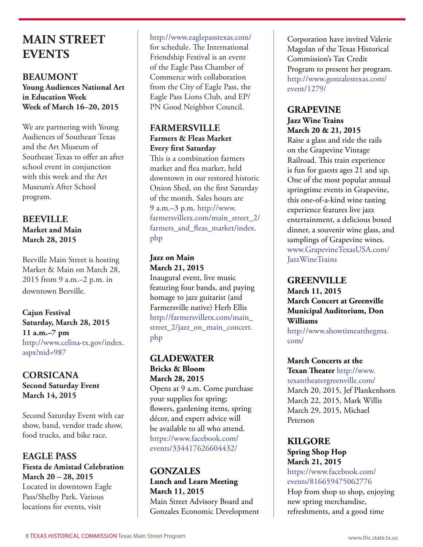# **MAIN STREET EVENTS**

**BEAUMONT Young Audiences National Art in Education Week Week of March 16–20, 2015**

We are partnering with Young Audiences of Southeast Texas and the Art Museum of Southeast Texas to offer an after school event in conjunction with this week and the Art Museum's After School program.

### **BEEVILLE Market and Main March 28, 2015**

Beeville Main Street is hosting Market & Main on March 28, 2015 from 9 a.m.–2 p.m. in downtown Beeville.

**Cajun Festival Saturday, March 28, 2015 11 a.m.–7 pm** [http://www.celina-tx.gov/index.](http://www.celina-tx.gov/index.aspx?nid=987) [aspx?nid=987](http://www.celina-tx.gov/index.aspx?nid=987)

### **CORSICANA Second Saturday Event March 14, 2015**

Second Saturday Event with car show, band, vendor trade show, food trucks, and bike race.

# **EAGLE PASS Fiesta de Amistad Celebration March 20 – 28, 2015**

Located in downtown Eagle Pass/Shelby Park. Various locations for events, visit

<http://www.eaglepasstexas.com/> for schedule. The International Friendship Festival is an event

of the Eagle Pass Chamber of Commerce with collaboration from the City of Eagle Pass, the Eagle Pass Lions Club, and EP/ PN Good Neighbor Council.

### **FARMERSVILLE Farmers & Fleas Market Every first Saturday**

This is a combination farmers market and flea market, held downtown in our restored historic Onion Shed, on the first Saturday of the month. Sales hours are 9 a.m.–3 p.m. [http://www.](http://www.farmersvilletx.com/main_street_2/farmers_and_fleas_market/index.php) [farmersvilletx.com/main\\_street\\_2/](http://www.farmersvilletx.com/main_street_2/farmers_and_fleas_market/index.php) [farmers\\_and\\_fleas\\_market/index.](http://www.farmersvilletx.com/main_street_2/farmers_and_fleas_market/index.php) [php](http://www.farmersvilletx.com/main_street_2/farmers_and_fleas_market/index.php)

### **Jazz on Main March 21, 2015**

Inaugural event, live music featuring four bands, and paying homage to jazz guitarist (and Farmersville native) Herb Ellis [http://farmersvilletx.com/main\\_](http://farmersvilletx.com/main_street_2/jazz_on_main_concert.php) [street\\_2/jazz\\_on\\_main\\_concert.](http://farmersvilletx.com/main_street_2/jazz_on_main_concert.php) [php](http://farmersvilletx.com/main_street_2/jazz_on_main_concert.php)

# **GLADEWATER Bricks & Bloom**

**March 28, 2015** Opens at 9 a.m. Come purchase your supplies for spring; flowers, gardening items, spring décor, and expert advice will be available to all who attend. [https://www.facebook.com/](https://www.facebook.com/events/334417626604432/) events/334417626604432/

# **GONZALES Lunch and Learn Meeting March 11, 2015**

Main Street Advisory Board and Gonzales Economic Development Corporation have invited Valerie Magolan of the Texas Historical Commission's Tax Credit Program to present her program. [http://www.gonzalestexas.com/](http://www.gonzalestexas.com/event/1279/) [event/1279/](http://www.gonzalestexas.com/event/1279/)

#### **GRAPEVINE Jazz Wine Trains March 20 & 21, 2015**

Raise a glass and ride the rails on the Grapevine Vintage Railroad. This train experience is fun for guests ages 21 and up. One of the most popular annual springtime events in Grapevine, this one-of-a-kind wine tasting experience features live jazz entertainment, a delicious boxed dinner, a souvenir wine glass, and samplings of Grapevine wines. [www.GrapevineTexasUSA.com/](www.GrapevineTexasUSA.com/JazzWineTrains) [JazzWineTrains](www.GrapevineTexasUSA.com/JazzWineTrains)

## **GREENVILLE**

**March 11, 2015 March Concert at Greenville Municipal Auditorium, Don Williams**

[http://www.showtimeatthegma.](http://www.showtimeatthegma.com/) [com/](http://www.showtimeatthegma.com/)

# **March Concerts at the**

**Texan Theater** [http://www.](http://www.texantheatergreenville.com/) [texantheatergreenville.com/](http://www.texantheatergreenville.com/) March 20, 2015, Jef Plankenhorn March 22, 2015, Mark Willis March 29, 2015, Michael Peterson

## **KILGORE Spring Shop Hop March 21, 2015**

[https://www.facebook.com/](https://www.facebook.com/events/816659475062776) [events/816659475062776](https://www.facebook.com/events/816659475062776)

Hop from shop to shop, enjoying new spring merchandise, refreshments, and a good time